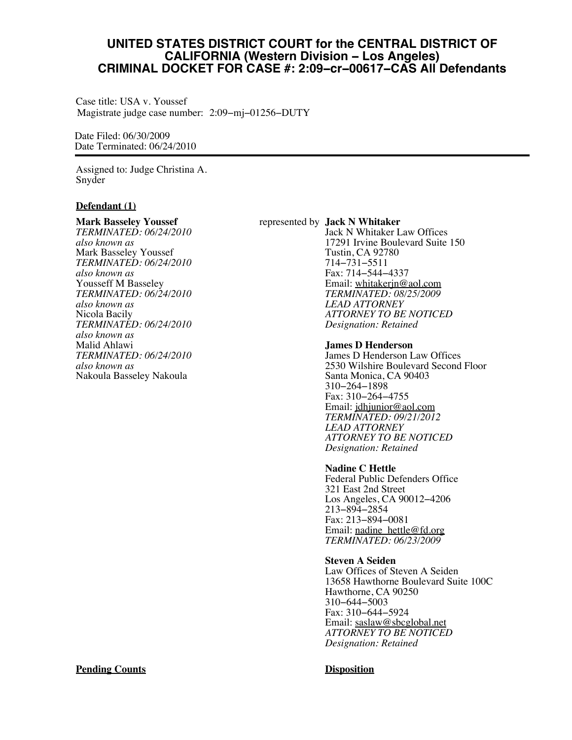# **UNITED STATES DISTRICT COURT for the CENTRAL DISTRICT OF CALIFORNIA (Western Division − Los Angeles) CRIMINAL DOCKET FOR CASE #: 2:09−cr−00617−CAS All Defendants**

Case title: USA v. Youssef Magistrate judge case number: 2:09−mj−01256−DUTY

Date Filed: 06/30/2009 Date Terminated: 06/24/2010

Assigned to: Judge Christina A. Snyder

## **Defendant (1)**

#### **Mark Basseley Youssef**

*TERMINATED: 06/24/2010 also known as* Mark Basseley Youssef *TERMINATED: 06/24/2010 also known as* Yousseff M Basseley *TERMINATED: 06/24/2010 also known as* Nicola Bacily *TERMINATED: 06/24/2010 also known as* Malid Ahlawi *TERMINATED: 06/24/2010 also known as* Nakoula Basseley Nakoula

#### represented by **Jack N Whitaker**

Jack N Whitaker Law Offices 17291 Irvine Boulevard Suite 150 Tustin, CA 92780 714−731−5511 Fax: 714−544−4337 Email: [whitakerjn@aol.com](mailto:whitakerjn@aol.com) *TERMINATED: 08/25/2009 LEAD ATTORNEY ATTORNEY TO BE NOTICED Designation: Retained*

#### **James D Henderson**

James D Henderson Law Offices 2530 Wilshire Boulevard Second Floor Santa Monica, CA 90403 310−264−1898 Fax: 310−264−4755 Email: [jdhjunior@aol.com](mailto:jdhjunior@aol.com) *TERMINATED: 09/21/2012 LEAD ATTORNEY ATTORNEY TO BE NOTICED Designation: Retained*

#### **Nadine C Hettle**

Federal Public Defenders Office 321 East 2nd Street Los Angeles, CA 90012−4206 213−894−2854 Fax: 213−894−0081 Email: [nadine\\_hettle@fd.org](mailto:nadine_hettle@fd.org) *TERMINATED: 06/23/2009*

#### **Steven A Seiden**

Law Offices of Steven A Seiden 13658 Hawthorne Boulevard Suite 100C Hawthorne, CA 90250 310−644−5003 Fax: 310−644−5924 Email: [saslaw@sbcglobal.net](mailto:saslaw@sbcglobal.net) *ATTORNEY TO BE NOTICED Designation: Retained*

# **Pending Counts Disposition**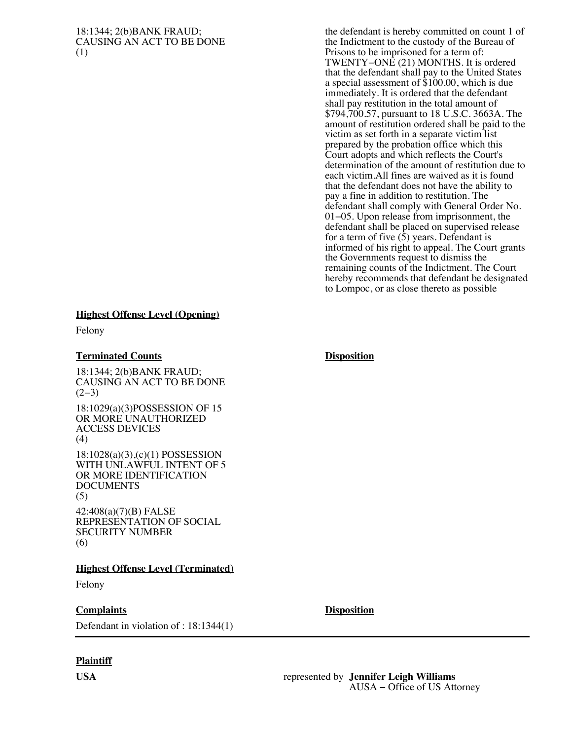#### 18:1344; 2(b)BANK FRAUD; CAUSING AN ACT TO BE DONE (1)

the defendant is hereby committed on count 1 of the Indictment to the custody of the Bureau of Prisons to be imprisoned for a term of: TWENTY−ONE (21) MONTHS. It is ordered that the defendant shall pay to the United States a special assessment of \$100.00, which is due immediately. It is ordered that the defendant shall pay restitution in the total amount of \$794,700.57, pursuant to 18 U.S.C. 3663A. The amount of restitution ordered shall be paid to the victim as set forth in a separate victim list prepared by the probation office which this Court adopts and which reflects the Court's determination of the amount of restitution due to each victim.All fines are waived as it is found that the defendant does not have the ability to pay a fine in addition to restitution. The defendant shall comply with General Order No. 01−05. Upon release from imprisonment, the defendant shall be placed on supervised release for a term of five  $(\bar{5})$  years. Defendant is informed of his right to appeal. The Court grants the Governments request to dismiss the remaining counts of the Indictment. The Court hereby recommends that defendant be designated to Lompoc, or as close thereto as possible

#### **Highest Offense Level (Opening)**

Felony

### **Terminated Counts Disposition**

18:1344; 2(b)BANK FRAUD; CAUSING AN ACT TO BE DONE  $(2-3)$ 

18:1029(a)(3)POSSESSION OF 15 OR MORE UNAUTHORIZED ACCESS DEVICES (4)

18:1028(a)(3),(c)(1) POSSESSION WITH UNLAWFUL INTENT OF 5 OR MORE IDENTIFICATION DOCUMENTS (5)

42:408(a)(7)(B) FALSE REPRESENTATION OF SOCIAL SECURITY NUMBER (6)

#### **Highest Offense Level (Terminated)**

Felony

# **Complaints Disposition**

Defendant in violation of : 18:1344(1)

# **Plaintiff**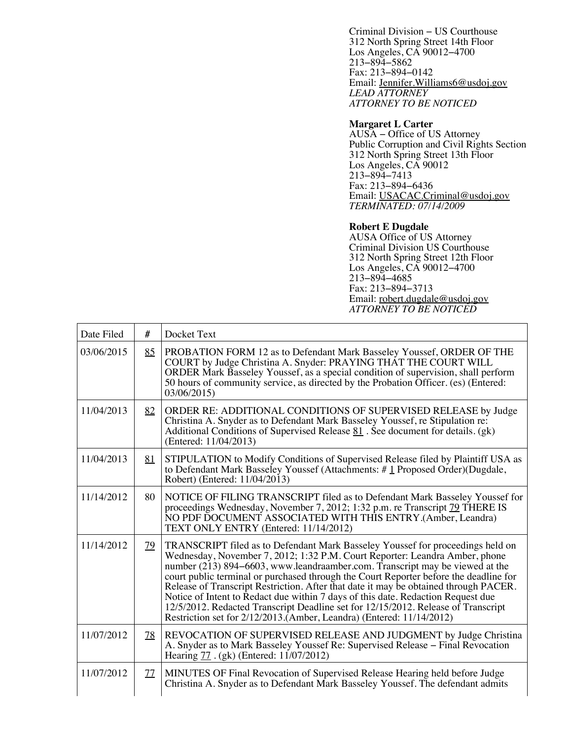Criminal Division − US Courthouse 312 North Spring Street 14th Floor Los Angeles, CA 90012−4700 213−894−5862 Fax: 213−894−0142 Email: [Jennifer.Williams6@usdoj.gov](mailto:Jennifer.Williams6@usdoj.gov) *LEAD ATTORNEY ATTORNEY TO BE NOTICED*

#### **Margaret L Carter**

AUSA − Office of US Attorney Public Corruption and Civil Rights Section 312 North Spring Street 13th Floor Los Angeles, CA 90012 213−894−7413 Fax: 213−894−6436 Email: [USACAC.Criminal@usdoj.gov](mailto:USACAC.Criminal@usdoj.gov) *TERMINATED: 07/14/2009*

### **Robert E Dugdale**

AUSA Office of US Attorney Criminal Division US Courthouse 312 North Spring Street 12th Floor Los Angeles, CA 90012−4700 213−894−4685 Fax: 213−894−3713 Email: [robert.dugdale@usdoj.gov](mailto:robert.dugdale@usdoj.gov) *ATTORNEY TO BE NOTICED*

| Date Filed | #         | Docket Text                                                                                                                                                                                                                                                                                                                                                                                                                                                                                                                                                                                                                                                                     |
|------------|-----------|---------------------------------------------------------------------------------------------------------------------------------------------------------------------------------------------------------------------------------------------------------------------------------------------------------------------------------------------------------------------------------------------------------------------------------------------------------------------------------------------------------------------------------------------------------------------------------------------------------------------------------------------------------------------------------|
| 03/06/2015 | 85        | PROBATION FORM 12 as to Defendant Mark Basseley Youssef, ORDER OF THE<br>COURT by Judge Christina A. Snyder: PRAYING THAT THE COURT WILL<br>ORDER Mark Basseley Youssef, as a special condition of supervision, shall perform<br>50 hours of community service, as directed by the Probation Officer. (es) (Entered:<br>03/06/2015)                                                                                                                                                                                                                                                                                                                                             |
| 11/04/2013 | 82        | ORDER RE: ADDITIONAL CONDITIONS OF SUPERVISED RELEASE by Judge<br>Christina A. Snyder as to Defendant Mark Basseley Youssef, re Stipulation re:<br>Additional Conditions of Supervised Release $\underline{81}$ . See document for details. (gk)<br>(Entered: 11/04/2013)                                                                                                                                                                                                                                                                                                                                                                                                       |
| 11/04/2013 | 81        | STIPULATION to Modify Conditions of Supervised Release filed by Plaintiff USA as<br>to Defendant Mark Basseley Youssef (Attachments: #1 Proposed Order)(Dugdale,<br>Robert) (Entered: 11/04/2013)                                                                                                                                                                                                                                                                                                                                                                                                                                                                               |
| 11/14/2012 | 80        | NOTICE OF FILING TRANSCRIPT filed as to Defendant Mark Basseley Youssef for<br>proceedings Wednesday, November 7, 2012; 1:32 p.m. re Transcript 79 THERE IS<br>NO PDF DOCUMENT ASSOCIATED WITH THIS ENTRY.(Amber, Leandra)<br>TEXT ONLY ENTRY (Entered: 11/14/2012)                                                                                                                                                                                                                                                                                                                                                                                                             |
| 11/14/2012 | <u>79</u> | TRANSCRIPT filed as to Defendant Mark Basseley Youssef for proceedings held on<br>Wednesday, November 7, 2012; 1:32 P.M. Court Reporter: Leandra Amber, phone<br>number (213) 894–6603, www.leandraamber.com. Transcript may be viewed at the<br>court public terminal or purchased through the Court Reporter before the deadline for<br>Release of Transcript Restriction. After that date it may be obtained through PACER.<br>Notice of Intent to Redact due within 7 days of this date. Redaction Request due<br>12/5/2012. Redacted Transcript Deadline set for 12/15/2012. Release of Transcript<br>Restriction set for 2/12/2013.(Amber, Leandra) (Entered: 11/14/2012) |
| 11/07/2012 | <u>78</u> | REVOCATION OF SUPERVISED RELEASE AND JUDGMENT by Judge Christina<br>A. Snyder as to Mark Basseley Youssef Re: Supervised Release - Final Revocation<br>Hearing 77 . (gk) (Entered: 11/07/2012)                                                                                                                                                                                                                                                                                                                                                                                                                                                                                  |
| 11/07/2012 | 77        | MINUTES OF Final Revocation of Supervised Release Hearing held before Judge<br>Christina A. Snyder as to Defendant Mark Basseley Youssef. The defendant admits                                                                                                                                                                                                                                                                                                                                                                                                                                                                                                                  |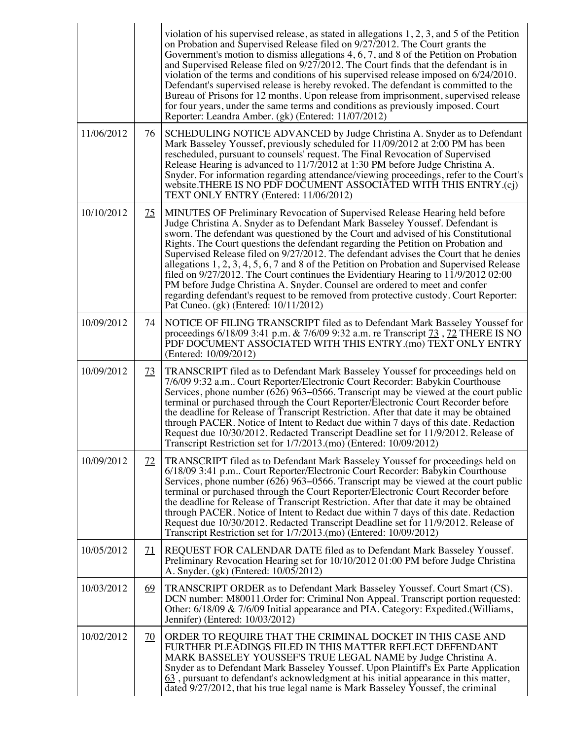|            |                 | violation of his supervised release, as stated in allegations $1, 2, 3$ , and $5$ of the Petition<br>on Probation and Supervised Release filed on 9/27/2012. The Court grants the<br>Government's motion to dismiss allegations $4, 6, 7$ , and $8$ of the Petition on Probation<br>and Supervised Release filed on 9/27/2012. The Court finds that the defendant is in<br>violation of the terms and conditions of his supervised release imposed on $6/24/2010$ .<br>Defendant's supervised release is hereby revoked. The defendant is committed to the<br>Bureau of Prisons for 12 months. Upon release from imprisonment, supervised release<br>for four years, under the same terms and conditions as previously imposed. Court<br>Reporter: Leandra Amber. (gk) (Entered: 11/07/2012)                                            |
|------------|-----------------|-----------------------------------------------------------------------------------------------------------------------------------------------------------------------------------------------------------------------------------------------------------------------------------------------------------------------------------------------------------------------------------------------------------------------------------------------------------------------------------------------------------------------------------------------------------------------------------------------------------------------------------------------------------------------------------------------------------------------------------------------------------------------------------------------------------------------------------------|
| 11/06/2012 | 76              | SCHEDULING NOTICE ADVANCED by Judge Christina A. Snyder as to Defendant<br>Mark Basseley Youssef, previously scheduled for 11/09/2012 at 2:00 PM has been<br>rescheduled, pursuant to counsels' request. The Final Revocation of Supervised<br>Release Hearing is advanced to 11/7/2012 at 1:30 PM before Judge Christina A.<br>Snyder. For information regarding attendance/viewing proceedings, refer to the Court's<br>website.THERE IS NO PDF DOCUMENT ASSOCIATED WITH THIS ENTRY.(cj)<br>TEXT ONLY ENTRY (Entered: 11/06/2012)                                                                                                                                                                                                                                                                                                     |
| 10/10/2012 | <u>75</u>       | MINUTES OF Preliminary Revocation of Supervised Release Hearing held before<br>Judge Christina A. Snyder as to Defendant Mark Basseley Youssef. Defendant is<br>sworn. The defendant was questioned by the Court and advised of his Constitutional<br>Rights. The Court questions the defendant regarding the Petition on Probation and<br>Supervised Release filed on 9/27/2012. The defendant advises the Court that he denies<br>allegations 1, 2, 3, 4, 5, 6, 7 and 8 of the Petition on Probation and Supervised Release<br>filed on $9/27/2012$ . The Court continues the Evidentiary Hearing to $11/9/201202:00$<br>PM before Judge Christina A. Snyder. Counsel are ordered to meet and confer<br>regarding defendant's request to be removed from protective custody. Court Reporter:<br>Pat Cuneo. (gk) (Entered: 10/11/2012) |
| 10/09/2012 | 74              | NOTICE OF FILING TRANSCRIPT filed as to Defendant Mark Basseley Youssef for<br>proceedings 6/18/09 3:41 p.m. & 7/6/09 9:32 a.m. re Transcript 73, 72 THERE IS NO<br>PDF DOCUMENT ASSOCIATED WITH THIS ENTRY.(mo) TEXT ONLY ENTRY<br>(Entered: 10/09/2012)                                                                                                                                                                                                                                                                                                                                                                                                                                                                                                                                                                               |
| 10/09/2012 | <u>73</u>       | TRANSCRIPT filed as to Defendant Mark Basseley Youssef for proceedings held on<br>7/6/09 9:32 a.m Court Reporter/Electronic Court Recorder: Babykin Courthouse<br>Services, phone number (626) 963–0566. Transcript may be viewed at the court public<br>terminal or purchased through the Court Reporter/Electronic Court Recorder before<br>the deadline for Release of Transcript Restriction. After that date it may be obtained<br>through PACER. Notice of Intent to Redact due within 7 days of this date. Redaction<br>Request due 10/30/2012. Redacted Transcript Deadline set for 11/9/2012. Release of<br>Transcript Restriction set for 1/7/2013.(mo) (Entered: 10/09/2012)                                                                                                                                                 |
| 10/09/2012 | $\overline{22}$ | TRANSCRIPT filed as to Defendant Mark Basseley Youssef for proceedings held on<br>6/18/09 3:41 p.m Court Reporter/Electronic Court Recorder: Babykin Courthouse<br>Services, phone number (626) 963–0566. Transcript may be viewed at the court public<br>terminal or purchased through the Court Reporter/Electronic Court Recorder before<br>the deadline for Release of Transcript Restriction. After that date it may be obtained<br>through PACER. Notice of Intent to Redact due within 7 days of this date. Redaction<br>Request due 10/30/2012. Redacted Transcript Deadline set for 11/9/2012. Release of<br>Transcript Restriction set for 1/7/2013.(mo) (Entered: 10/09/2012)                                                                                                                                                |
| 10/05/2012 | $\mathbf{Z}$    | REQUEST FOR CALENDAR DATE filed as to Defendant Mark Basseley Youssef.<br>Preliminary Revocation Hearing set for 10/10/2012 01:00 PM before Judge Christina<br>A. Snyder. (gk) (Entered: 10/05/2012)                                                                                                                                                                                                                                                                                                                                                                                                                                                                                                                                                                                                                                    |
| 10/03/2012 | <u>69</u>       | TRANSCRIPT ORDER as to Defendant Mark Basseley Youssef. Court Smart (CS).<br>DCN number: M80011.Order for: Criminal Non Appeal. Transcript portion requested:<br>Other: 6/18/09 & 7/6/09 Initial appearance and PIA. Category: Expedited. (Williams,<br>Jennifer) (Entered: 10/03/2012)                                                                                                                                                                                                                                                                                                                                                                                                                                                                                                                                                 |
| 10/02/2012 | <u>70</u>       | ORDER TO REQUIRE THAT THE CRIMINAL DOCKET IN THIS CASE AND<br>FURTHER PLEADINGS FILED IN THIS MATTER REFLECT DEFENDANT<br>MARK BASSELEY YOUSSEF'S TRUE LEGAL NAME by Judge Christina A.<br>Snyder as to Defendant Mark Basseley Youssef. Upon Plaintiff's Ex Parte Application<br>63, pursuant to defendant's acknowledgment at his initial appearance in this matter,<br>dated 9/27/2012, that his true legal name is Mark Basseley Youssef, the criminal                                                                                                                                                                                                                                                                                                                                                                              |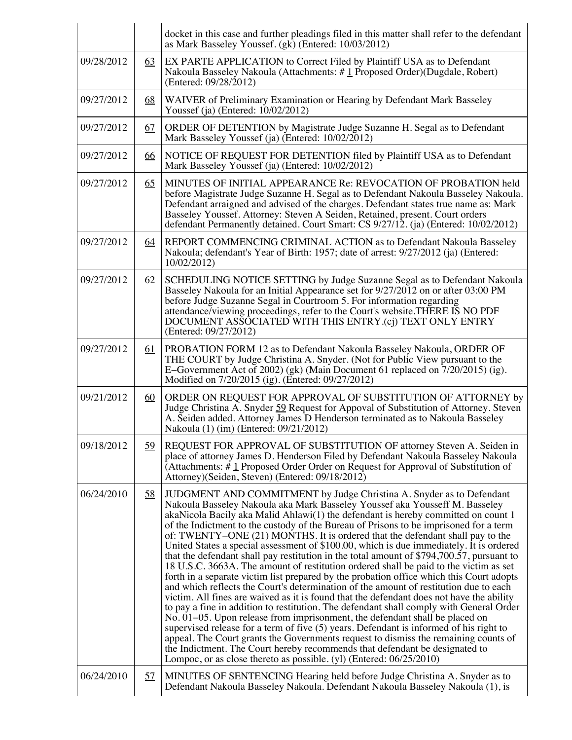|            |           | docket in this case and further pleadings filed in this matter shall refer to the defendant<br>as Mark Basseley Youssef. (gk) (Entered: 10/03/2012)                                                                                                                                                                                                                                                                                                                                                                                                                                                                                                                                                                                                                                                                                                                                                                                                                                                                                                                                                                                                                                                                                                                                                                                                                                                                                                                                                        |
|------------|-----------|------------------------------------------------------------------------------------------------------------------------------------------------------------------------------------------------------------------------------------------------------------------------------------------------------------------------------------------------------------------------------------------------------------------------------------------------------------------------------------------------------------------------------------------------------------------------------------------------------------------------------------------------------------------------------------------------------------------------------------------------------------------------------------------------------------------------------------------------------------------------------------------------------------------------------------------------------------------------------------------------------------------------------------------------------------------------------------------------------------------------------------------------------------------------------------------------------------------------------------------------------------------------------------------------------------------------------------------------------------------------------------------------------------------------------------------------------------------------------------------------------------|
| 09/28/2012 | 63        | EX PARTE APPLICATION to Correct Filed by Plaintiff USA as to Defendant<br>Nakoula Basseley Nakoula (Attachments: #1 Proposed Order) (Dugdale, Robert)<br>(Entered: 09/28/2012)                                                                                                                                                                                                                                                                                                                                                                                                                                                                                                                                                                                                                                                                                                                                                                                                                                                                                                                                                                                                                                                                                                                                                                                                                                                                                                                             |
| 09/27/2012 | 68        | WAIVER of Preliminary Examination or Hearing by Defendant Mark Basseley<br>Youssef (ja) (Entered: $10/02/2012$ )                                                                                                                                                                                                                                                                                                                                                                                                                                                                                                                                                                                                                                                                                                                                                                                                                                                                                                                                                                                                                                                                                                                                                                                                                                                                                                                                                                                           |
| 09/27/2012 | 67        | ORDER OF DETENTION by Magistrate Judge Suzanne H. Segal as to Defendant<br>Mark Basseley Youssef (ja) (Entered: 10/02/2012)                                                                                                                                                                                                                                                                                                                                                                                                                                                                                                                                                                                                                                                                                                                                                                                                                                                                                                                                                                                                                                                                                                                                                                                                                                                                                                                                                                                |
| 09/27/2012 | <u>66</u> | NOTICE OF REQUEST FOR DETENTION filed by Plaintiff USA as to Defendant<br>Mark Basseley Youssef (ja) (Entered: 10/02/2012)                                                                                                                                                                                                                                                                                                                                                                                                                                                                                                                                                                                                                                                                                                                                                                                                                                                                                                                                                                                                                                                                                                                                                                                                                                                                                                                                                                                 |
| 09/27/2012 | 65        | MINUTES OF INITIAL APPEARANCE Re: REVOCATION OF PROBATION held<br>before Magistrate Judge Suzanne H. Segal as to Defendant Nakoula Basseley Nakoula.<br>Defendant arraigned and advised of the charges. Defendant states true name as: Mark<br>Basseley Youssef. Attorney: Steven A Seiden, Retained, present. Court orders<br>defendant Permanently detained. Court Smart: CS 9/27/12. (ja) (Entered: 10/02/2012)                                                                                                                                                                                                                                                                                                                                                                                                                                                                                                                                                                                                                                                                                                                                                                                                                                                                                                                                                                                                                                                                                         |
| 09/27/2012 | <u>64</u> | REPORT COMMENCING CRIMINAL ACTION as to Defendant Nakoula Basseley<br>Nakoula; defendant's Year of Birth: 1957; date of arrest: 9/27/2012 (ja) (Entered:<br>10/02/2012)                                                                                                                                                                                                                                                                                                                                                                                                                                                                                                                                                                                                                                                                                                                                                                                                                                                                                                                                                                                                                                                                                                                                                                                                                                                                                                                                    |
| 09/27/2012 | 62        | SCHEDULING NOTICE SETTING by Judge Suzanne Segal as to Defendant Nakoula<br>Basseley Nakoula for an Initial Appearance set for 9/27/2012 on or after 03:00 PM<br>before Judge Suzanne Segal in Courtroom 5. For information regarding<br>attendance/viewing proceedings, refer to the Court's website.THERE IS NO PDF<br>DOCUMENT ASSOCIATED WITH THIS ENTRY (cj) TEXT ONLY ENTRY<br>(Entered: 09/27/2012)                                                                                                                                                                                                                                                                                                                                                                                                                                                                                                                                                                                                                                                                                                                                                                                                                                                                                                                                                                                                                                                                                                 |
| 09/27/2012 | <u>61</u> | PROBATION FORM 12 as to Defendant Nakoula Basseley Nakoula, ORDER OF<br>THE COURT by Judge Christina A. Snyder. (Not for Public View pursuant to the<br>E-Government Act of 2002) (gk) (Main Document 61 replaced on $\frac{7}{20/2015}$ ) (ig).<br>Modified on 7/20/2015 (ig). (Entered: 09/27/2012)                                                                                                                                                                                                                                                                                                                                                                                                                                                                                                                                                                                                                                                                                                                                                                                                                                                                                                                                                                                                                                                                                                                                                                                                      |
| 09/21/2012 | 60        | ORDER ON REQUEST FOR APPROVAL OF SUBSTITUTION OF ATTORNEY by<br>Judge Christina A. Snyder 59 Request for Appoval of Substitution of Attorney. Steven<br>A. Seiden added. Attorney James D Henderson terminated as to Nakoula Basseley<br>Nakoula (1) (im) (Entered: 09/21/2012)                                                                                                                                                                                                                                                                                                                                                                                                                                                                                                                                                                                                                                                                                                                                                                                                                                                                                                                                                                                                                                                                                                                                                                                                                            |
| 09/18/2012 | <u>59</u> | REQUEST FOR APPROVAL OF SUBSTITUTION OF attorney Steven A. Seiden in<br>place of attorney James D. Henderson Filed by Defendant Nakoula Basseley Nakoula<br>(Attachments: $\#\perp$ Proposed Order Order on Request for Approval of Substitution of<br>Attorney)(Seiden, Steven) (Entered: 09/18/2012)                                                                                                                                                                                                                                                                                                                                                                                                                                                                                                                                                                                                                                                                                                                                                                                                                                                                                                                                                                                                                                                                                                                                                                                                     |
| 06/24/2010 | 58        | JUDGMENT AND COMMITMENT by Judge Christina A. Snyder as to Defendant<br>Nakoula Basseley Nakoula aka Mark Basseley Youssef aka Yousseff M. Basseley<br>akaNicola Bacily aka Malid Ahlawi $(1)$ the defendant is hereby committed on count 1<br>of the Indictment to the custody of the Bureau of Prisons to be imprisoned for a term<br>of: TWENTY–ONE (21) MONTHS. It is ordered that the defendant shall pay to the<br>United States a special assessment of \$100.00, which is due immediately. It is ordered<br>that the defendant shall pay restitution in the total amount of \$794,700.57, pursuant to<br>18 U.S.C. 3663A. The amount of restitution ordered shall be paid to the victim as set<br>forth in a separate victim list prepared by the probation office which this Court adopts<br>and which reflects the Court's determination of the amount of restitution due to each<br>victim. All fines are waived as it is found that the defendant does not have the ability<br>to pay a fine in addition to restitution. The defendant shall comply with General Order<br>No. 01–05. Upon release from imprisonment, the defendant shall be placed on<br>supervised release for a term of five $(5)$ years. Defendant is informed of his right to<br>appeal. The Court grants the Governments request to dismiss the remaining counts of<br>the Indictment. The Court hereby recommends that defendant be designated to<br>Lompoc, or as close thereto as possible. (yl) (Entered: 06/25/2010) |
| 06/24/2010 | 57        | MINUTES OF SENTENCING Hearing held before Judge Christina A. Snyder as to<br>Defendant Nakoula Basseley Nakoula. Defendant Nakoula Basseley Nakoula (1), is                                                                                                                                                                                                                                                                                                                                                                                                                                                                                                                                                                                                                                                                                                                                                                                                                                                                                                                                                                                                                                                                                                                                                                                                                                                                                                                                                |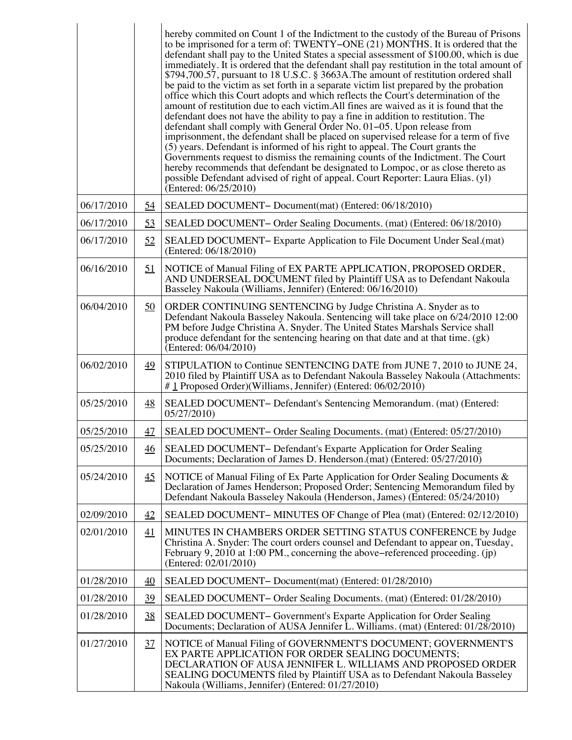|            |                  | hereby commited on Count 1 of the Indictment to the custody of the Bureau of Prisons<br>to be imprisoned for a term of: TWENTY-ONE (21) MONTHS. It is ordered that the<br>defendant shall pay to the United States a special assessment of \$100.00, which is due<br>immediately. It is ordered that the defendant shall pay restitution in the total amount of<br>\$794,700.57, pursuant to 18 U.S.C. § 3663A. The amount of restitution ordered shall<br>be paid to the victim as set forth in a separate victim list prepared by the probation<br>office which this Court adopts and which reflects the Court's determination of the<br>amount of restitution due to each victim. All fines are waived as it is found that the<br>defendant does not have the ability to pay a fine in addition to restitution. The<br>defendant shall comply with General Order No. 01–05. Upon release from<br>imprisonment, the defendant shall be placed on supervised release for a term of five<br>$(5)$ years. Defendant is informed of his right to appeal. The Court grants the<br>Governments request to dismiss the remaining counts of the Indictment. The Court<br>hereby recommends that defendant be designated to Lompoc, or as close thereto as<br>possible Defendant advised of right of appeal. Court Reporter: Laura Elias. (yl)<br>(Entered: 06/25/2010) |
|------------|------------------|------------------------------------------------------------------------------------------------------------------------------------------------------------------------------------------------------------------------------------------------------------------------------------------------------------------------------------------------------------------------------------------------------------------------------------------------------------------------------------------------------------------------------------------------------------------------------------------------------------------------------------------------------------------------------------------------------------------------------------------------------------------------------------------------------------------------------------------------------------------------------------------------------------------------------------------------------------------------------------------------------------------------------------------------------------------------------------------------------------------------------------------------------------------------------------------------------------------------------------------------------------------------------------------------------------------------------------------------------------------|
| 06/17/2010 | 54               | SEALED DOCUMENT- Document(mat) (Entered: 06/18/2010)                                                                                                                                                                                                                                                                                                                                                                                                                                                                                                                                                                                                                                                                                                                                                                                                                                                                                                                                                                                                                                                                                                                                                                                                                                                                                                             |
| 06/17/2010 | 53               | SEALED DOCUMENT – Order Sealing Documents. (mat) (Entered: 06/18/2010)                                                                                                                                                                                                                                                                                                                                                                                                                                                                                                                                                                                                                                                                                                                                                                                                                                                                                                                                                                                                                                                                                                                                                                                                                                                                                           |
| 06/17/2010 | 52               | SEALED DOCUMENT - Exparte Application to File Document Under Seal.(mat)<br>(Entered: 06/18/2010)                                                                                                                                                                                                                                                                                                                                                                                                                                                                                                                                                                                                                                                                                                                                                                                                                                                                                                                                                                                                                                                                                                                                                                                                                                                                 |
| 06/16/2010 | <u>51</u>        | NOTICE of Manual Filing of EX PARTE APPLICATION, PROPOSED ORDER,<br>AND UNDERSEAL DOCUMENT filed by Plaintiff USA as to Defendant Nakoula<br>Basseley Nakoula (Williams, Jennifer) (Entered: 06/16/2010)                                                                                                                                                                                                                                                                                                                                                                                                                                                                                                                                                                                                                                                                                                                                                                                                                                                                                                                                                                                                                                                                                                                                                         |
| 06/04/2010 | $\underline{50}$ | ORDER CONTINUING SENTENCING by Judge Christina A. Snyder as to<br>Defendant Nakoula Basseley Nakoula. Sentencing will take place on 6/24/2010 12:00<br>PM before Judge Christina A. Snyder. The United States Marshals Service shall<br>produce defendant for the sentencing hearing on that date and at that time. (gk)<br>(Entered: 06/04/2010)                                                                                                                                                                                                                                                                                                                                                                                                                                                                                                                                                                                                                                                                                                                                                                                                                                                                                                                                                                                                                |
| 06/02/2010 | 49               | STIPULATION to Continue SENTENCING DATE from JUNE 7, 2010 to JUNE 24,<br>2010 filed by Plaintiff USA as to Defendant Nakoula Basseley Nakoula (Attachments:<br># 1 Proposed Order)(Williams, Jennifer) (Entered: 06/02/2010)                                                                                                                                                                                                                                                                                                                                                                                                                                                                                                                                                                                                                                                                                                                                                                                                                                                                                                                                                                                                                                                                                                                                     |
| 05/25/2010 | $\overline{48}$  | SEALED DOCUMENT- Defendant's Sentencing Memorandum. (mat) (Entered:<br>05/27/2010)                                                                                                                                                                                                                                                                                                                                                                                                                                                                                                                                                                                                                                                                                                                                                                                                                                                                                                                                                                                                                                                                                                                                                                                                                                                                               |
| 05/25/2010 | <u>47</u>        | SEALED DOCUMENT- Order Sealing Documents. (mat) (Entered: 05/27/2010)                                                                                                                                                                                                                                                                                                                                                                                                                                                                                                                                                                                                                                                                                                                                                                                                                                                                                                                                                                                                                                                                                                                                                                                                                                                                                            |
| 05/25/2010 | 46               | SEALED DOCUMENT- Defendant's Exparte Application for Order Sealing<br>Documents; Declaration of James D. Henderson.(mat) (Entered: 05/27/2010)                                                                                                                                                                                                                                                                                                                                                                                                                                                                                                                                                                                                                                                                                                                                                                                                                                                                                                                                                                                                                                                                                                                                                                                                                   |
| 05/24/2010 | $\overline{45}$  | NOTICE of Manual Filing of Ex Parte Application for Order Sealing Documents &<br>Declaration of James Henderson; Proposed Order; Sentencing Memorandum filed by<br>Defendant Nakoula Basseley Nakoula (Henderson, James) (Entered: 05/24/2010)                                                                                                                                                                                                                                                                                                                                                                                                                                                                                                                                                                                                                                                                                                                                                                                                                                                                                                                                                                                                                                                                                                                   |
| 02/09/2010 | 42               | SEALED DOCUMENT– MINUTES OF Change of Plea (mat) (Entered: 02/12/2010)                                                                                                                                                                                                                                                                                                                                                                                                                                                                                                                                                                                                                                                                                                                                                                                                                                                                                                                                                                                                                                                                                                                                                                                                                                                                                           |
| 02/01/2010 | 41               | MINUTES IN CHAMBERS ORDER SETTING STATUS CONFERENCE by Judge<br>Christina A. Snyder: The court orders counsel and Defendant to appear on, Tuesday,<br>February 9, 2010 at 1:00 PM., concerning the above–referenced proceeding. (jp)<br>(Entered: 02/01/2010)                                                                                                                                                                                                                                                                                                                                                                                                                                                                                                                                                                                                                                                                                                                                                                                                                                                                                                                                                                                                                                                                                                    |
| 01/28/2010 | 40               | SEALED DOCUMENT- Document(mat) (Entered: 01/28/2010)                                                                                                                                                                                                                                                                                                                                                                                                                                                                                                                                                                                                                                                                                                                                                                                                                                                                                                                                                                                                                                                                                                                                                                                                                                                                                                             |
| 01/28/2010 | 39               | SEALED DOCUMENT – Order Sealing Documents. (mat) (Entered: 01/28/2010)                                                                                                                                                                                                                                                                                                                                                                                                                                                                                                                                                                                                                                                                                                                                                                                                                                                                                                                                                                                                                                                                                                                                                                                                                                                                                           |
| 01/28/2010 | 38               | SEALED DOCUMENT - Government's Exparte Application for Order Sealing<br>Documents; Declaration of AUSA Jennifer L. Williams. (mat) (Entered: 01/28/2010)                                                                                                                                                                                                                                                                                                                                                                                                                                                                                                                                                                                                                                                                                                                                                                                                                                                                                                                                                                                                                                                                                                                                                                                                         |
| 01/27/2010 | $\frac{37}{2}$   | NOTICE of Manual Filing of GOVERNMENT'S DOCUMENT; GOVERNMENT'S<br>EX PARTE APPLICATION FOR ORDER SEALING DOCUMENTS;<br>DECLARATION OF AUSA JENNIFER L. WILLIAMS AND PROPOSED ORDER<br>SEALING DOCUMENTS filed by Plaintiff USA as to Defendant Nakoula Basseley<br>Nakoula (Williams, Jennifer) (Entered: 01/27/2010)                                                                                                                                                                                                                                                                                                                                                                                                                                                                                                                                                                                                                                                                                                                                                                                                                                                                                                                                                                                                                                            |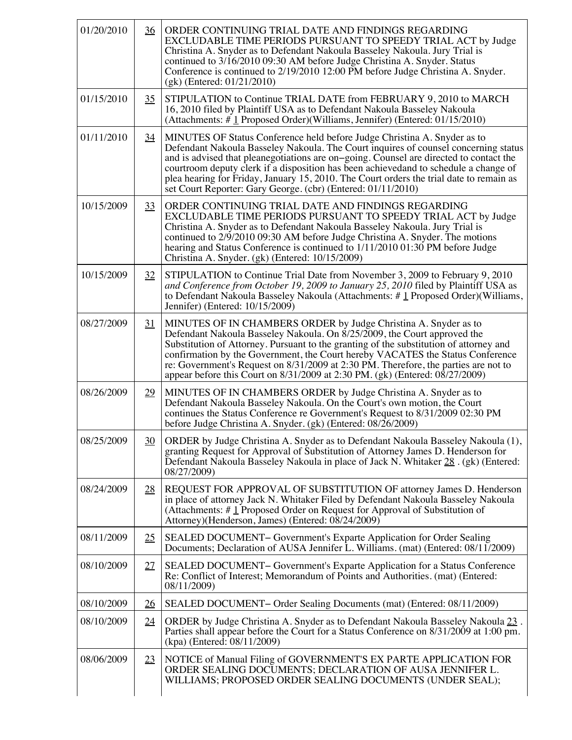| 01/20/2010 | $\frac{36}{5}$  | ORDER CONTINUING TRIAL DATE AND FINDINGS REGARDING<br>EXCLUDABLE TIME PERIODS PURSUANT TO SPEEDY TRIAL ACT by Judge<br>Christina A. Snyder as to Defendant Nakoula Basseley Nakoula. Jury Trial is<br>continued to 3/16/2010 09:30 AM before Judge Christina A. Snyder. Status<br>Conference is continued to 2/19/2010 12:00 PM before Judge Christina A. Snyder.<br>$(gk)$ (Entered: 01/21/2010)                                                                                                             |
|------------|-----------------|---------------------------------------------------------------------------------------------------------------------------------------------------------------------------------------------------------------------------------------------------------------------------------------------------------------------------------------------------------------------------------------------------------------------------------------------------------------------------------------------------------------|
| 01/15/2010 | 35              | STIPULATION to Continue TRIAL DATE from FEBRUARY 9, 2010 to MARCH<br>16, 2010 filed by Plaintiff USA as to Defendant Nakoula Basseley Nakoula<br>(Attachments: #1 Proposed Order)(Williams, Jennifer) (Entered: 01/15/2010)                                                                                                                                                                                                                                                                                   |
| 01/11/2010 | $\overline{34}$ | MINUTES OF Status Conference held before Judge Christina A. Snyder as to<br>Defendant Nakoula Basseley Nakoula. The Court inquires of counsel concerning status<br>and is advised that pleanegotiations are on-going. Counsel are directed to contact the<br>courtroom deputy clerk if a disposition has been achieved and to schedule a change of<br>plea hearing for Friday, January 15, 2010. The Court orders the trial date to remain as<br>set Court Reporter: Gary George. (cbr) (Entered: 01/11/2010) |
| 10/15/2009 | 33              | ORDER CONTINUING TRIAL DATE AND FINDINGS REGARDING<br>EXCLUDABLE TIME PERIODS PURSUANT TO SPEEDY TRIAL ACT by Judge<br>Christina A. Snyder as to Defendant Nakoula Basseley Nakoula. Jury Trial is<br>continued to 2/9/2010 09:30 AM before Judge Christina A. Snyder. The motions<br>hearing and Status Conference is continued to 1/11/2010 01:30 PM before Judge<br>Christina A. Snyder. (gk) (Entered: 10/15/2009)                                                                                        |
| 10/15/2009 | 32              | STIPULATION to Continue Trial Date from November 3, 2009 to February 9, 2010<br>and Conference from October 19, 2009 to January 25, 2010 filed by Plaintiff USA as<br>to Defendant Nakoula Basseley Nakoula (Attachments: #1 Proposed Order) (Williams,<br>Jennifer) (Entered: 10/15/2009)                                                                                                                                                                                                                    |
| 08/27/2009 | 31              | MINUTES OF IN CHAMBERS ORDER by Judge Christina A. Snyder as to<br>Defendant Nakoula Basseley Nakoula. On 8/25/2009, the Court approved the<br>Substitution of Attorney. Pursuant to the granting of the substitution of attorney and<br>confirmation by the Government, the Court hereby VACATES the Status Conference<br>re: Government's Request on 8/31/2009 at 2:30 PM. Therefore, the parties are not to<br>appear before this Court on 8/31/2009 at 2:30 PM. (gk) (Entered: 08/27/2009)                |
| 08/26/2009 | <u>29</u>       | MINUTES OF IN CHAMBERS ORDER by Judge Christina A. Snyder as to<br>Defendant Nakoula Basseley Nakoula. On the Court's own motion, the Court<br>continues the Status Conference re Government's Request to 8/31/2009 02:30 PM<br>before Judge Christina A. Snyder. (gk) (Entered: 08/26/2009)                                                                                                                                                                                                                  |
| 08/25/2009 | 30              | ORDER by Judge Christina A. Snyder as to Defendant Nakoula Basseley Nakoula (1),<br>granting Request for Approval of Substitution of Attorney James D. Henderson for<br>Defendant Nakoula Basseley Nakoula in place of Jack N. Whitaker 28. (gk) (Entered:<br>08/27/2009)                                                                                                                                                                                                                                     |
| 08/24/2009 | <u>28</u>       | REQUEST FOR APPROVAL OF SUBSTITUTION OF attorney James D. Henderson<br>in place of attorney Jack N. Whitaker Filed by Defendant Nakoula Basseley Nakoula<br>(Attachments: $\#$ 1 Proposed Order on Request for Approval of Substitution of<br>Attorney)(Henderson, James) (Entered: 08/24/2009)                                                                                                                                                                                                               |
| 08/11/2009 | 25              | SEALED DOCUMENT – Government's Exparte Application for Order Sealing<br>Documents; Declaration of AUSA Jennifer L. Williams. (mat) (Entered: 08/11/2009)                                                                                                                                                                                                                                                                                                                                                      |
| 08/10/2009 | 27              | SEALED DOCUMENT – Government's Exparte Application for a Status Conference<br>Re: Conflict of Interest; Memorandum of Points and Authorities. (mat) (Entered:<br>08/11/2009)                                                                                                                                                                                                                                                                                                                                  |
| 08/10/2009 | <u>26</u>       | SEALED DOCUMENT – Order Sealing Documents (mat) (Entered: 08/11/2009)                                                                                                                                                                                                                                                                                                                                                                                                                                         |
| 08/10/2009 | 24              | ORDER by Judge Christina A. Snyder as to Defendant Nakoula Basseley Nakoula 23.<br>Parties shall appear before the Court for a Status Conference on 8/31/2009 at 1:00 pm.<br>(kpa) (Entered: 08/11/2009)                                                                                                                                                                                                                                                                                                      |
| 08/06/2009 | <u>23</u>       | NOTICE of Manual Filing of GOVERNMENT'S EX PARTE APPLICATION FOR<br>ORDER SEALING DOCUMENTS; DECLARATION OF AUSA JENNIFER L.<br>WILLIAMS; PROPOSED ORDER SEALING DOCUMENTS (UNDER SEAL);                                                                                                                                                                                                                                                                                                                      |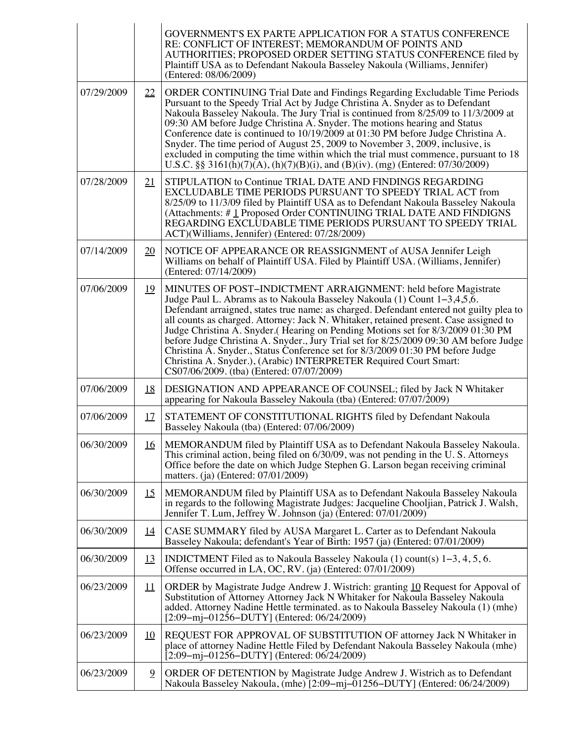|            |                | GOVERNMENT'S EX PARTE APPLICATION FOR A STATUS CONFERENCE<br>RE: CONFLICT OF INTEREST; MEMORANDUM OF POINTS AND<br>AUTHORITIES; PROPOSED ORDER SETTING STATUS CONFERENCE filed by<br>Plaintiff USA as to Defendant Nakoula Basseley Nakoula (Williams, Jennifer)<br>(Entered: 08/06/2009)                                                                                                                                                                                                                                                                                                                                                                                                                          |
|------------|----------------|--------------------------------------------------------------------------------------------------------------------------------------------------------------------------------------------------------------------------------------------------------------------------------------------------------------------------------------------------------------------------------------------------------------------------------------------------------------------------------------------------------------------------------------------------------------------------------------------------------------------------------------------------------------------------------------------------------------------|
| 07/29/2009 | 22             | ORDER CONTINUING Trial Date and Findings Regarding Excludable Time Periods<br>Pursuant to the Speedy Trial Act by Judge Christina A. Snyder as to Defendant<br>Nakoula Basseley Nakoula. The Jury Trial is continued from 8/25/09 to 11/3/2009 at<br>09:30 AM before Judge Christina A. Snyder. The motions hearing and Status<br>Conference date is continued to 10/19/2009 at 01:30 PM before Judge Christina A.<br>Snyder. The time period of August 25, 2009 to November 3, 2009, inclusive, is<br>excluded in computing the time within which the trial must commence, pursuant to 18<br>U.S.C. §§ 3161(h)(7)(A), (h)(7)(B)(i), and (B)(iv). (mg) (Entered: 07/30/2009)                                       |
| 07/28/2009 | 21             | STIPULATION to Continue TRIAL DATE AND FINDINGS REGARDING<br>EXCLUDABLE TIME PERIODS PURSUANT TO SPEEDY TRIAL ACT from<br>8/25/09 to 11/3/09 filed by Plaintiff USA as to Defendant Nakoula Basseley Nakoula<br>(Attachments: #1 Proposed Order CONTINUING TRIAL DATE AND FINDIGNS<br>REGARDING EXCLUDABLE TIME PERIODS PURSUANT TO SPEEDY TRIAL<br>ACT)(Williams, Jennifer) (Entered: 07/28/2009)                                                                                                                                                                                                                                                                                                                 |
| 07/14/2009 | 20             | NOTICE OF APPEARANCE OR REASSIGNMENT of AUSA Jennifer Leigh<br>Williams on behalf of Plaintiff USA. Filed by Plaintiff USA. (Williams, Jennifer)<br>(Entered: 07/14/2009)                                                                                                                                                                                                                                                                                                                                                                                                                                                                                                                                          |
| 07/06/2009 | <u>19</u>      | MINUTES OF POST-INDICTMENT ARRAIGNMENT: held before Magistrate<br>Judge Paul L. Abrams as to Nakoula Basseley Nakoula (1) Count $1-3,4,5,6$ .<br>Defendant arraigned, states true name: as charged. Defendant entered not guilty plea to<br>all counts as charged. Attorney: Jack N. Whitaker, retained present. Case assigned to<br>Judge Christina A. Snyder. (Hearing on Pending Motions set for 8/3/2009 01:30 PM<br>before Judge Christina A. Snyder., Jury Trial set for 8/25/2009 09:30 AM before Judge<br>Christina A. Snyder., Status Conference set for 8/3/2009 01:30 PM before Judge<br>Christina A. Snyder.), (Arabic) INTERPRETER Required Court Smart:<br>CS07/06/2009. (tba) (Entered: 07/07/2009) |
| 07/06/2009 | <u>18</u>      | DESIGNATION AND APPEARANCE OF COUNSEL; filed by Jack N Whitaker<br>appearing for Nakoula Basseley Nakoula (tba) (Entered: 07/07/2009)                                                                                                                                                                                                                                                                                                                                                                                                                                                                                                                                                                              |
| 07/06/2009 | <u>17</u>      | STATEMENT OF CONSTITUTIONAL RIGHTS filed by Defendant Nakoula<br>Basseley Nakoula (tba) (Entered: 07/06/2009)                                                                                                                                                                                                                                                                                                                                                                                                                                                                                                                                                                                                      |
| 06/30/2009 | <u>16</u>      | MEMORANDUM filed by Plaintiff USA as to Defendant Nakoula Basseley Nakoula.<br>This criminal action, being filed on 6/30/09, was not pending in the U.S. Attorneys<br>Office before the date on which Judge Stephen G. Larson began receiving criminal<br>matters. (ja) (Entered: 07/01/2009)                                                                                                                                                                                                                                                                                                                                                                                                                      |
| 06/30/2009 | <u>15</u>      | MEMORANDUM filed by Plaintiff USA as to Defendant Nakoula Basseley Nakoula<br>in regards to the following Magistrate Judges: Jacqueline Chooljian, Patrick J. Walsh,<br>Jennifer T. Lum, Jeffrey W. Johnson (ja) (Entered: 07/01/2009)                                                                                                                                                                                                                                                                                                                                                                                                                                                                             |
| 06/30/2009 | <u> 14</u>     | CASE SUMMARY filed by AUSA Margaret L. Carter as to Defendant Nakoula<br>Basseley Nakoula; defendant's Year of Birth: 1957 (ja) (Entered: 07/01/2009)                                                                                                                                                                                                                                                                                                                                                                                                                                                                                                                                                              |
| 06/30/2009 | <u>13</u>      | INDICTMENT Filed as to Nakoula Basseley Nakoula $(1)$ count(s) $1-3, 4, 5, 6$ .<br>Offense occurred in LA, OC, RV. (ja) (Entered: 07/01/2009)                                                                                                                                                                                                                                                                                                                                                                                                                                                                                                                                                                      |
| 06/23/2009 | $_{11}$        | ORDER by Magistrate Judge Andrew J. Wistrich: granting 10 Request for Appoval of<br>Substitution of Attorney Attorney Jack N Whitaker for Nakoula Basseley Nakoula<br>added. Attorney Nadine Hettle terminated. as to Nakoula Basseley Nakoula (1) (mhe)<br>$[2:09-mj-01256-DUTY]$ (Entered: 06/24/2009)                                                                                                                                                                                                                                                                                                                                                                                                           |
| 06/23/2009 | 10             | REQUEST FOR APPROVAL OF SUBSTITUTION OF attorney Jack N Whitaker in<br>place of attorney Nadine Hettle Filed by Defendant Nakoula Basseley Nakoula (mhe)<br>$[2:09-mj-01256-DUTY]$ (Entered: 06/24/2009)                                                                                                                                                                                                                                                                                                                                                                                                                                                                                                           |
| 06/23/2009 | $\overline{9}$ | ORDER OF DETENTION by Magistrate Judge Andrew J. Wistrich as to Defendant<br>Nakoula Basseley Nakoula, (mhe) [2:09-mj-01256-DUTY] (Entered: 06/24/2009)                                                                                                                                                                                                                                                                                                                                                                                                                                                                                                                                                            |